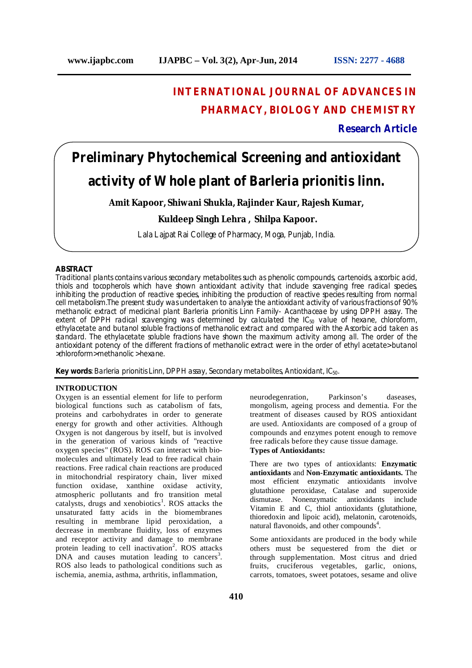## **INTERNATIONAL JOURNAL OF ADVANCES IN PHARMACY, BIOLOGY AND CHEMISTRY**

**Research Article**

# **Preliminary Phytochemical Screening and antioxidant activity of Whole plant of** *Barleria prionitis* **linn.**

**Amit Kapoor, Shiwani Shukla, Rajinder Kaur, Rajesh Kumar,**

## **Kuldeep Singh Lehra , Shilpa Kapoor.**

Lala Lajpat Rai College of Pharmacy, Moga, Punjab, India.

#### **ABSTRACT**

Traditional plants contains various secondary metabolites such as phenolic compounds, cartenoids, ascorbic acid, thiols and tocopherols which have shown antioxidant activity that include scavenging free radical species, inhibiting the production of reactive species, inhibiting the production of reactive species resulting from normal cell metabolism.The present study was undertaken to analyse the antioxidant activity of various fractions of 90% methanolic extract of medicinal plant *Barleria prionitis* Linn Family- Acanthaceae by using DPPH assay. The extent of DPPH radical scavenging was determined by calculated the  $IC_{50}$  value of hexane, chloroform, ethylacetate and butanol soluble fractions of methanolic extract and compared with the Ascorbic acid taken as standard. The ethylacetate soluble fractions have shown the maximum activity among all. The order of the antioxidant potency of the different fractions of methanolic extract were in the order of ethyl acetate> butanol >chloroform> methanolic > hexane.

**Key words**: *Barleria prionitis* Linn, DPPH assay, Secondary metabolites, Antioxidant, IC50.

## **INTRODUCTION**

Oxygen is an essential element for life to perform biological functions such as catabolism of fats, proteins and carbohydrates in order to generate energy for growth and other activities. Although Oxygen is not dangerous by itself, but is involved in the generation of various kinds of "reactive oxygen species" (ROS). ROS can interact with biomolecules and ultimately lead to free radical chain reactions. Free radical chain reactions are produced in mitochondrial respiratory chain, liver mixed function oxidase, xanthine oxidase activity, atmospheric pollutants and fro transition metal catalysts, drugs and xenobiotics<sup>1</sup>. ROS attacks the unsaturated fatty acids in the biomembranes resulting in membrane lipid peroxidation, a decrease in membrane fluidity, loss of enzymes and receptor activity and damage to membrane protein leading to cell inactivation<sup>2</sup>. ROS attacks DNA and causes mutation leading to cancers<sup>3</sup>. ROS also leads to pathological conditions such as ischemia, anemia, asthma, arthritis, inflammation,

neurodegenration, Parkinson's daseases, mongolism, ageing process and dementia. For the treatment of diseases caused by ROS antioxidant are used. Antioxidants are composed of a group of compounds and enzymes potent enough to remove free radicals before they cause tissue damage.

## **Types of Antioxidants:**

There are two types of antioxidants: **Enzymatic antioxidants** and **Non-Enzymatic antioxidants.** The most efficient enzymatic antioxidants involve glutathione peroxidase, Catalase and superoxide Nonenzymatic antioxidants include Vitamin E and C, thiol antioxidants (glutathione, thioredoxin and lipoic acid), melatonin, carotenoids, natural flavonoids, and other compounds<sup>4</sup>.

Some antioxidants are produced in the body while others must be sequestered from the diet or through supplementation. Most citrus and dried fruits, cruciferous vegetables, garlic, onions, carrots, tomatoes, sweet potatoes, sesame and olive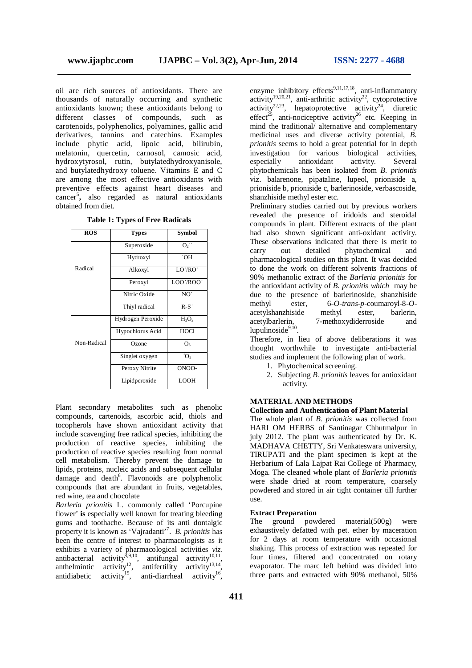oil are rich sources of antioxidants. There are thousands of naturally occurring and synthetic antioxidants known; these antioxidants belong to different classes of compounds, such as carotenoids, polyphenolics, polyamines, gallic acid derivatives, tannins and catechins. Examples include phytic acid, lipoic acid, bilirubin, melatonin, quercetin, carnosol, camosic acid, hydroxytyrosol, rutin, butylatedhydroxyanisole, and butylatedhydroxy toluene. Vitamins E and C are among the most effective antioxidants with preventive effects against heart diseases and cancer<sup>5</sup> **,** also regarded as natural antioxidants obtained from diet.

| <b>ROS</b>  | <b>Types</b>      | Symbol            |
|-------------|-------------------|-------------------|
|             | Superoxide        | $O_2$ .           |
|             | Hydroxyl          | .OH               |
| Radical     | Alkoxyl           | TO.\BO.           |
|             | Peroxyl           | <b>LOO</b> ./ROO. |
|             | Nitric Oxide      | NO <sup>.</sup>   |
|             | Thiyl radical     | $R-S$             |
|             | Hydrogen Peroxide | $H_2O_2$          |
|             | Hypochlorus Acid  | HOCI              |
| Non-Radical | Ozone             | O <sub>3</sub>    |
|             | Singlet oxygen    | $^{1}O_{2}$       |
|             | Peroxy Nitrite    | ONOO-             |
|             | Lipidperoxide     | <b>LOOH</b>       |

**Table 1: Types of Free Radicals**

Plant secondary metabolites such as phenolic compounds, cartenoids, ascorbic acid, thiols and tocopherols have shown antioxidant activity that include scavenging free radical species, inhibiting the production of reactive species, inhibiting the production of reactive species resulting from normal cell metabolism. Thereby prevent the damage to lipids, proteins, nucleic acids and subsequent cellular damage and death<sup>6</sup>. Flavonoids are polyphenolic compounds that are abundant in fruits, vegetables, red wine, tea and chocolate

*Barleria prionitis* L. commonly called 'Porcupine flower' **is** especially well known for treating bleeding gums and toothache. Because of its anti dontalgic property it is known as 'Vajradanti'<sup>7</sup> . *B. prionitis* has been the centre of interest to pharmacologists as it exhibits a variety of pharmacological activities *viz.* antibacterial activity<sup>8,9,10</sup>, antifungal activity<sup>10,11</sup>, anthelmintic activity<sup>12</sup>, antifertility activity<sup>13,14</sup>, antidiabetic activity<sup>15</sup>, anti-diarrheal activity<sup>16</sup>,

enzyme inhibitory effects<sup>9,11,17,18</sup>, anti-inflammatory activity<sup>19,20,21</sup>, anti-arthritic activity<sup>22</sup>, cytoprotective activity<sup>22,23</sup>, hepatoprotective activity<sup>24</sup>, diuretic effect<sup>25</sup>, anti-nociceptive activity<sup>26</sup> etc. Keeping in mind the traditional/ alternative and complementary medicinal uses and diverse activity potential, *B. prionitis* seems to hold a great potential for in depth investigation for various biological activities, especially antioxidant activity. Several phytochemicals has been isolated from *B. prionitis* viz. balarenone, pipataline, lupeol, prioniside a, prioniside b, prioniside c, barlerinoside, verbascoside, shanzhiside methyl ester etc.

Preliminary studies carried out by previous workers revealed the presence of iridoids and steroidal compounds in plant. Different extracts of the plant had also shown significant anti-oxidant activity. These observations indicated that there is merit to carry out detailed phytochemical and pharmacological studies on this plant. It was decided to done the work on different solvents fractions of 90% methanolic extract of the *Barleria prionitis* for the antioxidant activity of *B. prionitis which* may be due to the presence of barlerinoside, shanzhiside methyl ester, 6-*O-trans-p*-coumaroyl-8-*O*acetylshanzhiside methyl ester, barlerin, 7-methoxydiderroside and lupulinoside<sup>9,10</sup>.

Therefore, in lieu of above deliberations it was thought worthwhile to investigate anti-bacterial studies and implement the following plan of work.

- 1. Phytochemical screening.
- 2. Subjecting *B. prionitis* leaves for antioxidant activity.

#### **MATERIAL AND METHODS**

## **Collection and Authentication of Plant Material**

The whole plant of *B. prionitis* was collected from HARI OM HERBS of Santinagar Chhutmalpur in july 2012. The plant was authenticated by Dr. K. MADHAVA CHETTY, Sri Venkateswara university, TIRUPATI and the plant specimen is kept at the Herbarium of Lala Lajpat Rai College of Pharmacy, Moga. The cleaned whole plant of *Barleria prionitis* were shade dried at room temperature, coarsely powdered and stored in air tight container till further use.

#### **Extract Preparation**

The ground powdered material(500g) were exhaustively defatted with pet. ether by maceration for 2 days at room temperature with occasional shaking. This process of extraction was repeated for four times, filtered and concentrated on rotary evaporator. The marc left behind was divided into three parts and extracted with 90% methanol, 50%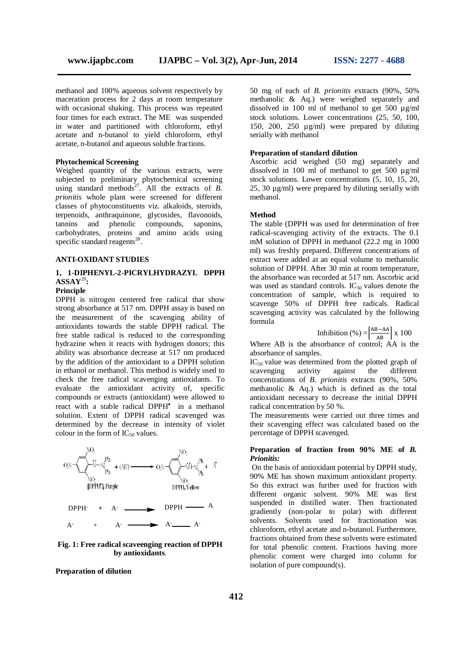methanol and 100% aqueous solvent respectively by maceration process for 2 days at room temperature with occasional shaking. This process was repeated four times for each extract. The ME was suspended in water and partitioned with chloroform, ethyl acetate and n-butanol to yield chloroform, ethyl acetate, n-butanol and aqueous soluble fractions.

## **Phytochemical Screening**

Weighed quantity of the various extracts, were subjected to preliminary phytochemical screening using standard methods<sup>27</sup>. All the extracts of  $\overline{B}$ . *prionitis* whole plant were screened for different classes of phytoconstituents viz. alkaloids, steroids, terpenoids, anthraquinone, glycosides, flavonoids, tannins and phenolic compounds, saponins, carbohydrates, proteins and amino acids using specific standard reagents<sup>28</sup>.

## **ANTI-OXIDANT STUDIES**

## **1, 1-DIPHENYL-2-PICRYLHYDRAZYL DPPH ASSAY**<sup>29</sup>**:**

## **Principle**

DPPH is nitrogen centered free radical that show strong absorbance at 517 nm. DPPH assay is based on the measurement of the scavenging ability of antioxidants towards the stable DPPH radical. The free stable radical is reduced to the corresponding hydrazine when it reacts with hydrogen donors; this ability was absorbance decrease at 517 nm produced by the addition of the antioxidant to a DPPH solution in ethanol or methanol. This method is widely used to check the free radical scavenging antioxidants. To evaluate the antioxidant activity of, specific compounds or extracts (antioxidant) were allowed to react with a stable radical DPPH<sup>\*</sup> in a methanol solution. Extent of DPPH radical scavenged was determined by the decrease in intensity of violet colour in the form of  $IC_{50}$  values.



### **Fig. 1: Free radical scaveenging reaction of DPPH by antioxidants**.

**Preparation of dilution** 

50 mg of each of *B. prionitis* extracts (90%, 50% methanolic & Aq.) were weighed separately and dissolved in 100 ml of methanol to get 500 µg/ml stock solutions. Lower concentrations (25, 50, 100, 150, 200, 250 µg/ml) were prepared by diluting serially with methanol

### **Preparation of standard dilution**

Ascorbic acid weighed (50 mg) separately and dissolved in 100 ml of methanol to get 500 µg/ml stock solutions. Lower concentrations (5, 10, 15, 20, 25, 30 µg/ml) were prepared by diluting serially with methanol.

## **Method**

The stable (DPPH was used for determination of free radical-scavenging activity of the extracts. The 0.1 mM solution of DPPH in methanol (22.2 mg in 1000 ml) was freshly prepared. Different concentrations of extract were added at an equal volume to methanolic solution of DPPH. After 30 min at room temperature, the absorbance was recorded at 517 nm. Ascorbic acid was used as standard controls.  $IC_{50}$  values denote the concentration of sample, which is required to scavenge 50% of DPPH free radicals. Radical scavenging activity was calculated by the following formula

$$
Inhibition (%) = \left[\frac{AB - AA}{AB}\right] x 100
$$

Where AB is the absorbance of control; AA is the absorbance of samples.

 $IC_{50}$  value was determined from the plotted graph of scavenging activity against the different scavenging concentrations of *B. prionitis* extracts (90%, 50% methanolic & Aq.) which is defined as the total antioxidant necessary to decrease the initial DPPH radical concentration by 50 %.

The measurements were carried out three times and their scavenging effect was calculated based on the percentage of DPPH scavenged.

## **Preparation of fraction from 90% ME of** *B. Prionitis:*

On the basis of antioxidant potential by DPPH study, 90% ME has shown maximum antioxidant property. So this extract was further used for fraction with different organic solvent. 90% ME was first suspended in distilled water. Then fractionated gradiently (non-polar to polar) with different solvents. Solvents used for fractionation was chloroform, ethyl acetate and n-butanol. Furthermore, fractions obtained from these solvents were estimated for total phenolic content. Fractions having more phenolic content were charged into column for isolation of pure compound(s).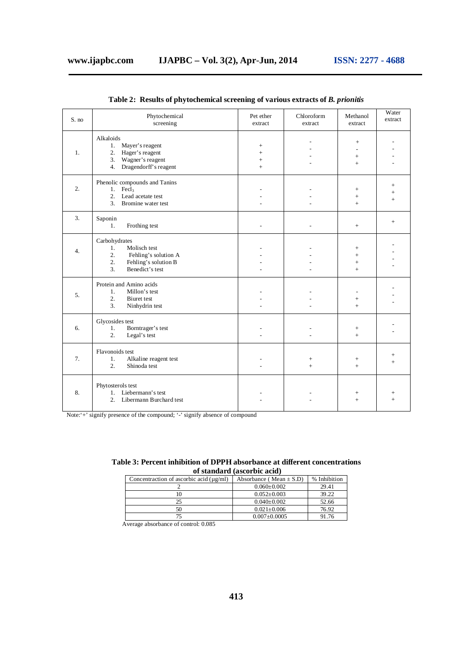| S. no            | Phytochemical<br>screening                                                                                                  | Pet ether<br>extract           | Chloroform<br>extract  | Methanol<br>extract                  | Water<br>extract          |
|------------------|-----------------------------------------------------------------------------------------------------------------------------|--------------------------------|------------------------|--------------------------------------|---------------------------|
| 1.               | Alkaloids<br>Mayer's reagent<br>1.<br>Hager's reagent<br>2.<br>Wagner's reagent<br>3.<br>Dragendorff's reagent<br>4.        | $^{+}$<br>$+$<br>$\! +$<br>$+$ |                        | $^{+}$<br>$+$<br>$+$                 |                           |
| $\overline{2}$ . | Phenolic compounds and Tanins<br>1.<br>Fecl <sub>3</sub><br>Lead acetate test<br>2.<br>Bromine water test<br>3 <sub>1</sub> |                                |                        | $+$<br>$\qquad \qquad +$<br>$+$      | $\ddot{}$<br>$\ddot{}$    |
| 3.               | Saponin<br>Frothing test<br>1.                                                                                              |                                |                        | $+$                                  | $^{+}$                    |
| $\overline{4}$ . | Carbohydrates<br>Molisch test<br>1.<br>2.<br>Fehling's solution A<br>2.<br>Fehling's solution B<br>3.<br>Benedict's test    |                                |                        | $^{+}$<br>$+$<br>$\ddot{}$<br>$^{+}$ |                           |
| 5.               | Protein and Amino acids<br>$\mathbf{1}$ .<br>Millon's test<br>2.<br><b>Biuret</b> test<br>3.<br>Ninhydrin test              |                                |                        | $^{+}$<br>$+$                        |                           |
| 6.               | Glycosides test<br>1.<br>Borntrager's test<br>2.<br>Legal's test                                                            |                                |                        | $\! +$<br>$+$                        |                           |
| 7.               | Flavonoids test<br>1.<br>Alkaline reagent test<br>Shinoda test<br>2.                                                        |                                | $\! + \!\!\!\!$<br>$+$ | $+$<br>$+$                           | $^{+}$<br>$+$             |
| 8.               | Phytosterols test<br>1. Liebermann's test<br>2. Libermann Burchard test                                                     |                                |                        | $^{+}$                               | $^{\mathrm{+}}$<br>$^{+}$ |

**Table 2: Results of phytochemical screening of various extracts of** *B. prionitis*

Note:'+' signify presence of the compound; '-' signify absence of compound

| Table 3: Percent inhibition of DPPH absorbance at different concentrations |
|----------------------------------------------------------------------------|
| of standard (ascorbic acid)                                                |

| Concentraction of ascorbic acid $(\mu g/ml)$ | Absorbance (Mean $\pm$ S.D) | % Inhibition |
|----------------------------------------------|-----------------------------|--------------|
|                                              | $0.060 \pm 0.002$           | 29.41        |
| 10                                           | $0.052 \pm 0.003$           | 39.22        |
| 25                                           | $0.040 \pm 0.002$           | 52.66        |
| 50                                           | $0.021 \pm 0.006$           | 76.92        |
|                                              | $0.007 \pm 0.0005$          | 91.76        |

Average absorbance of control: 0.085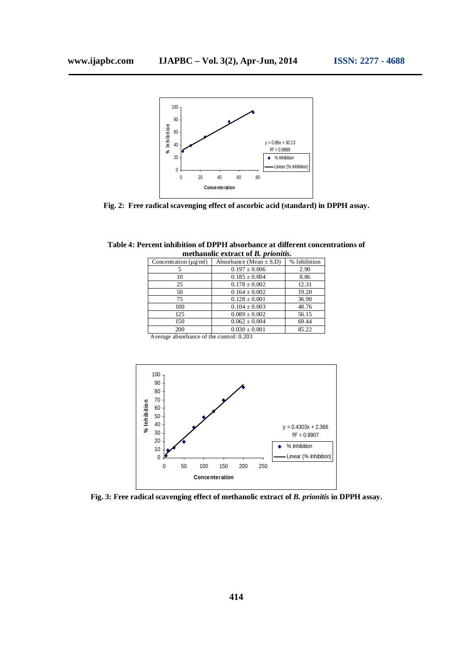

**Fig. 2: Free radical scavenging effect of ascorbic acid (standard) in DPPH assay.**

| Table 4: Percent inhibition of DPPH absorbance at different concentrations of |  |
|-------------------------------------------------------------------------------|--|
| methanolic extract of <i>B. prionitis.</i>                                    |  |

| Concentration $(\mu \text{g/ml})$ | Absorbance (Mean $\pm$ S.D) | % Inhibition |
|-----------------------------------|-----------------------------|--------------|
|                                   | $0.197 \pm 0.006$           | 2.90         |
| 10                                | $0.185 \pm 0.004$           | 8.86         |
| 25                                | $0.178 \pm 0.002$           | 12.31        |
| 50                                | $0.164 \pm 0.002$           | 19.20        |
| 75                                | $0.128 \pm 0.001$           | 36.90        |
| 100                               | $0.104 \pm 0.003$           | 48.76        |
| 125                               | $0.089 \pm 0.002$           | 56.15        |
| 150                               | $0.062 \pm 0.004$           | 69.44        |
| 200                               | $0.030 \pm 0.001$           | 85.22        |
|                                   |                             |              |

Average absorbance of the control: 0.203



**Fig. 3: Free radical scavenging effect of methanolic extract of** *B. prionitis* **in DPPH assay.**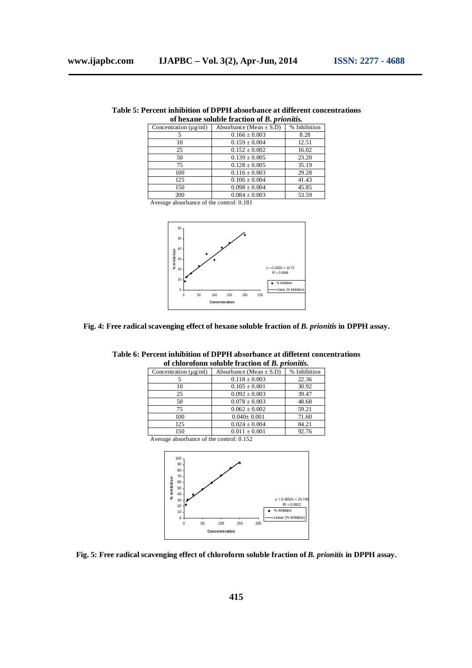| Table 5: Percent inhibition of DPPH absorbance at different concentrations |  |
|----------------------------------------------------------------------------|--|
| of hexane soluble fraction of B. prionitis.                                |  |

|                                   | of hexane soluble if action of <i>D</i> , <i>priofluis</i> . |              |
|-----------------------------------|--------------------------------------------------------------|--------------|
| Concentration $(\mu \text{g/ml})$ | Absorbance (Mean $\pm$ S.D)                                  | % Inhibition |
|                                   | $0.166 \pm 0.003$                                            | 8.28         |
| 10                                | $0.159 \pm 0.004$                                            | 12.51        |
| 25                                | $0.152 \pm 0.002$                                            | 16.02        |
| 50                                | $0.139 \pm 0.005$                                            | 23.20        |
| 75                                | $0.128 \pm 0.005$                                            | 35.19        |
| 100                               | $0.116 \pm 0.003$                                            | 29.28        |
| 125                               | $0.106 \pm 0.004$                                            | 41.43        |
| 150                               | $0.098 \pm 0.004$                                            | 45.85        |
| 200                               | $0.084 \pm 0.003$                                            | 53.59        |

Average absorbance of the control: 0.181



## **Fig. 4: Free radical scavenging effect of hexane soluble fraction of** *B. prionitis* **in DPPH assay.**

|                                   | <u>ui chiuluiunti sulupic machun ul D. prionais.</u> |              |
|-----------------------------------|------------------------------------------------------|--------------|
| Concentration $(\mu \text{g/ml})$ | Absorbance (Mean $\pm$ S.D)                          | % Inhibition |
|                                   | $0.118 \pm 0.003$                                    | 22.36        |
| 10                                | $0.105 \pm 0.001$                                    | 30.92        |
| 25                                | $0.092 \pm 0.003$                                    | 39.47        |
| 50                                | $0.078 \pm 0.003$                                    | 48.68        |
| 75                                | $0.062 \pm 0.002$                                    | 59.21        |
| 100                               | $0.040 \pm 0.001$                                    | 71.60        |
| 125                               | $0.024 \pm 0.004$                                    | 84.21        |
| 150                               | $0.011 \pm 0.001$                                    | 92.76        |

## **Table 6: Percent inhibition of DPPH absorbance at diffetent concentrations of chlorofonn soluble fraction of** *B. prionitis.*

Average absorbance of the control: 0.152



**Fig. 5: Free radical scavenging effect of chloroform soluble fraction of** *B. prionitis* **in DPPH assay.**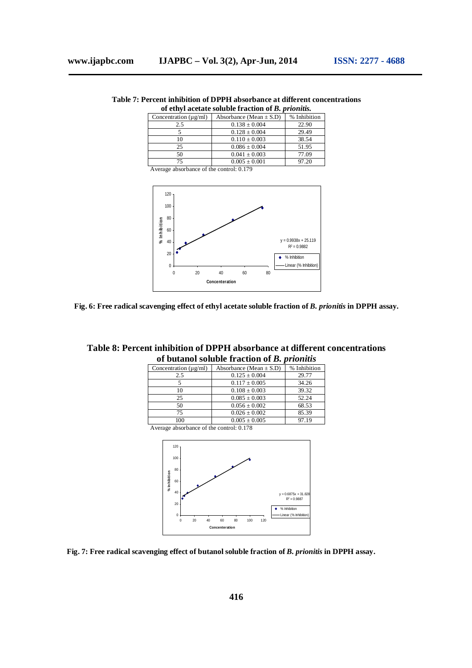| Table 7: Percent inhibition of DPPH absorbance at different concentrations |
|----------------------------------------------------------------------------|
| of ethyl acetate soluble fraction of <i>B</i> . <i>prionitis</i> .         |

| Concentration $(\mu g/ml)$                       | Absorbance (Mean $\pm$ S.D) | % Inhibition |
|--------------------------------------------------|-----------------------------|--------------|
| 2.5                                              | $0.138 \pm 0.004$           | 22.90        |
|                                                  | $0.128 \pm 0.004$           | 29.49        |
| 10                                               | $0.110 \pm 0.003$           | 38.54        |
| 25                                               | $0.086 \pm 0.004$           | 51.95        |
| 50                                               | $0.041 \pm 0.003$           | 77.09        |
| 75                                               | $0.005 \pm 0.001$           | 97.20        |
| A respectively continuous of the control $0.170$ |                             |              |

Average absorbance of the control: 0.179





| Table 8: Percent inhibition of DPPH absorbance at different concentrations |
|----------------------------------------------------------------------------|
| of butanol soluble fraction of B. prionitis                                |

| Concentration $(\mu \text{g/ml})$ | Absorbance (Mean $\pm$ S.D) | % Inhibition |
|-----------------------------------|-----------------------------|--------------|
| 2.5                               | $0.125 \pm 0.004$           | 29.77        |
|                                   | $0.117 \pm 0.005$           | 34.26        |
| 10                                | $0.108 \pm 0.003$           | 39.32        |
| 25                                | $0.085 \pm 0.003$           | 52.24        |
| 50                                | $0.056 \pm 0.002$           | 68.53        |
| 75                                | $0.026 \pm 0.002$           | 85.39        |
| 100                               | $0.005 \pm 0.005$           | 97 19        |

Average absorbance of the control: 0.178



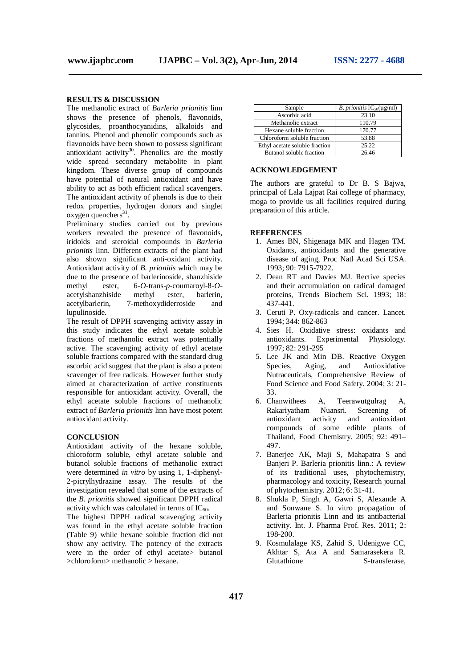## **RESULTS & DISCUSSION**

The methanolic extract of *Barleria prionitis* linn shows the presence of phenols, flavonoids, glycosides, proanthocyanidins, alkaloids and tannins. Phenol and phenolic compounds such as flavonoids have been shown to possess significant antioxidant activity $30$ . Phenolics are the mostly wide spread secondary metabolite in plant kingdom. These diverse group of compounds have potential of natural antioxidant and have ability to act as both efficient radical scavengers. The antioxidant activity of phenols is due to their redox properties, hydrogen donors and singlet oxygen quenchers<sup>31</sup>.

Preliminary studies carried out by previous workers revealed the presence of flavonoids, iridoids and steroidal compounds in *Barleria prionitis* linn. Different extracts of the plant had also shown significant anti-oxidant activity. Antioxidant activity of *B. prionitis* which may be due to the presence of barlerinoside, shanzhiside<br>methyl ester.  $6\text{-}O\text{-}trans\text{-}n\text{-}coumarovl-8\text{-}O\text{-}l$ methyl ester, 6-*O*-trans-*p*-coumaroyl-8-*O*acetylshanzhiside acetylbarlerin, 7-methoxydiderroside and lupulinoside.

The result of DPPH scavenging activity assay in this study indicates the ethyl acetate soluble fractions of methanolic extract was potentially active. The scavenging activity of ethyl acetate soluble fractions compared with the standard drug ascorbic acid suggest that the plant is also a potent scavenger of free radicals. However further study aimed at characterization of active constituents responsible for antioxidant activity. Overall, the ethyl acetate soluble fractions of methanolic extract of *Barleria prionitis* linn have most potent antioxidant activity.

#### **CONCLUSION**

Antioxidant activity of the hexane soluble, chloroform soluble, ethyl acetate soluble and butanol soluble fractions of methanolic extract were determined *in vitro* by using 1, 1-diphenyl-2-picrylhydrazine assay. The results of the investigation revealed that some of the extracts of the *B. prionitis* showed significant DPPH radical activity which was calculated in terms of  $IC_{50}$ .

The highest DPPH radical scavenging activity was found in the ethyl acetate soluble fraction (Table 9) while hexane soluble fraction did not show any activity. The potency of the extracts were in the order of ethyl acetate butanol >chloroform> methanolic > hexane.

| Sample                         | <i>B. prionitis</i> $IC_{50}(\mu g/ml)$ |  |
|--------------------------------|-----------------------------------------|--|
| Ascorbic acid                  | 23.10                                   |  |
| Methanolic extract             | 110.79                                  |  |
| Hexane soluble fraction        | 170.77                                  |  |
| Chloroform soluble fraction    | 53.88                                   |  |
| Ethyl acetate soluble fraction | 25.22                                   |  |
| Butanol soluble fraction       | 26.46                                   |  |

## **ACKNOWLEDGEMENT**

The authors are grateful to Dr B. S Bajwa, principal of Lala Lajpat Rai college of pharmacy, moga to provide us all facilities required during preparation of this article.

## **REFERENCES**

- 1. Ames BN, Shigenaga MK and Hagen TM. Oxidants, antioxidants and the generative disease of aging, Proc Natl Acad Sci USA. 1993; 90: 7915-7922.
- 2. Dean RT and Davies MJ. Rective species and their accumulation on radical damaged proteins, Trends Biochem Sci. 1993; 18: 437-441.
- 3. Ceruti P. Oxy-radicals and cancer. Lancet. 1994; 344: 862-863
- 4. Sies H. Oxidative stress: oxidants and antioxidants. Experimental Physiology. 1997; 82: 291-295
- 5. Lee JK and Min DB. Reactive Oxygen Species, Aging, and Antioxidative Nutraceuticals, Comprehensive Review of Food Science and Food Safety. 2004; 3: 21- 33.
- 6. Chanwithees A, Teerawutgulrag A, Rakariyatham Nuansri. Screening of<br>antioxidant activity and antioxidant antioxidant activity compounds of some edible plants of Thailand, Food Chemistry. 2005; 92: 491– 497.
- 7. Banerjee AK, Maji S, Mahapatra S and Banjeri P. Barleria prionitis linn.: A review of its traditional uses, phytochemistry, pharmacology and toxicity, Research journal of phytochemistry. 2012; 6: 31-41.
- 8. Shukla P, Singh A, Gawri S, Alexande A and Sonwane S. In vitro propagation of Barleria prionitis Linn and its antibacterial activity. Int. J. Pharma Prof. Res. 2011; 2: 198-200.
- 9. Kosmulalage KS, Zahid S, Udenigwe CC, Akhtar S, Ata A and Samarasekera R. Glutathione S-transferase,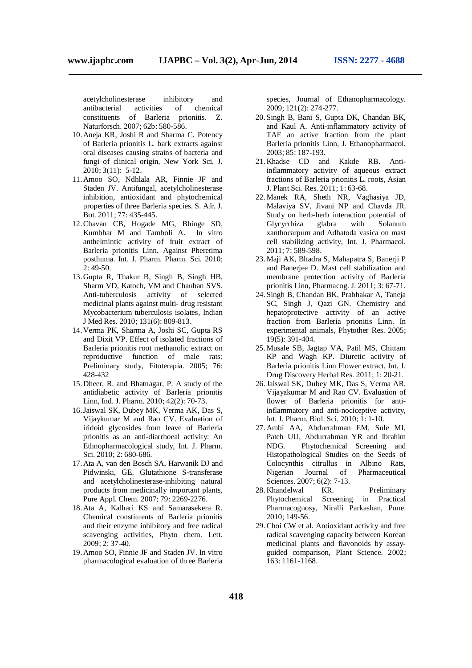acetylcholinesterase inhibitory and antibacterial activities of chemical<br>constituents of Barleria prionitis. Z. constituents of Barleria Naturforsch. 2007; 62b: 580-586.

- 10.Aneja KR, Joshi R and Sharma C. Potency of Barleria prionitis L. bark extracts against oral diseases causing strains of bacteria and fungi of clinical origin, New York Sci. J. 2010; 3(11): 5-12.
- 11.Amoo SO, Ndhlala AR, Finnie JF and Staden JV. Antifungal, acetylcholinesterase inhibition, antioxidant and phytochemical properties of three Barleria species. S. Afr. J. Bot. 2011; 77: 435-445.
- 12.Chavan CB, Hogade MG, Bhinge SD, Kumbhar M and Tamboli A. In vitro anthelmintic activity of fruit extract of Barleria prionitis Linn. Against Pheretima posthuma. Int. J. Pharm. Pharm. Sci. 2010; 2: 49-50.
- 13.Gupta R, Thakur B, Singh B, Singh HB, Sharm VD, Katoch, VM and Chauhan SVS. Anti-tuberculosis activity of selected medicinal plants against multi- drug resistant Mycobacterium tuberculosis isolates, Indian J Med Res. 2010; 131(6): 809-813.
- 14.Verma PK, Sharma A, Joshi SC, Gupta RS and Dixit VP. Effect of isolated fractions of Barleria prionitis root methanolic extract on reproductive function of male rats: Preliminary study, Fitoterapia. 2005; 76: 428-432
- 15.Dheer, R. and Bhatnagar, P. A study of the antidiabetic activity of Barleria prionitis Linn, Ind. J. Pharm. 2010; 42(2): 70-73.
- 16.Jaiswal SK, Dubey MK, Verma AK, Das S, Vijaykumar M and Rao CV. Evaluation of iridoid glycosides from leave of Barleria prionitis as an anti-diarrhoeal activity: An Ethnopharmacological study, Int. J. Pharm. Sci. 2010; 2: 680-686.
- 17.Ata A, van den Bosch SA, Harwanik DJ and Pidwinski, GE. Glutathione S-transferase and acetylcholinesterase-inhibiting natural products from medicinally important plants, Pure Appl. Chem. 2007; 79: 2269-2276.
- 18.Ata A, Kalhari KS and Samarasekera R. Chemical constituents of Barleria prionitis and their enzyme inhibitory and free radical scavenging activities, Phyto chem. Lett. 2009; 2: 37-40.
- 19.Amoo SO, Finnie JF and Staden JV. In vitro pharmacological evaluation of three Barleria

species, Journal of Ethanopharmacology. 2009; 121(2): 274-277.

- 20. Singh B, Bani S, Gupta DK, Chandan BK, and Kaul A. Anti-inflammatory activity of TAF an active fraction from the plant Barleria prionitis Linn, J. Ethanopharmacol. 2003; 85: 187-193.
- 21.Khadse CD and Kakde RB. Antiinflammatory activity of aqueous extract fractions of Barleria prionitis L. roots, Asian J. Plant Sci. Res. 2011; 1: 63-68.
- 22.Manek RA, Sheth NR, Vaghasiya JD, Malaviya SV, Jivani NP and Chavda JR. Study on herb-herb interaction potential of Glycyrrhiza glabra with Solanum xanthocarpum and Adhatoda vasica on mast cell stabilizing activity, Int. J. Pharmacol. 2011; 7: 589-598.
- 23.Maji AK, Bhadra S, Mahapatra S, Banerji P and Banerjee D. Mast cell stabilization and membrane protection activity of Barleria prionitis Linn, Pharmacog. J. 2011; 3: 67-71.
- 24. Singh B, Chandan BK, Prabhakar A, Taneja SC, Singh J, Qazi GN. Chemistry and hepatoprotective activity of an active fraction from Barleria prionitis Linn. In experimental animals, Phytother Res. 2005; 19(5): 391-404.
- 25.Musale SB, Jagtap VA, Patil MS, Chittam KP and Wagh KP. Diuretic activity of Barleria prionitis Linn Flower extract, Int. J. Drug Discovery Herbal Res. 2011; 1: 20-21.
- 26.Jaiswal SK, Dubey MK, Das S, Verma AR, Vijayakumar M and Rao CV. Evaluation of flower of Barleria prionitis for antiinflammatory and anti-nociceptive activity, Int. J. Pharm. Biol. Sci. 2010; 1: 1-10.
- 27.Ambi AA, Abdurrahman EM, Sule MI, Pateh UU, Abdurrahman YR and Ibrahim NDG. Phytochemical Screening and Histopathological Studies on the Seeds of Colocynthis citrullus in Albino Rats, Nigerian Journal of Pharmaceutical Sciences. 2007; 6(2): 7-13.
- 28.Khandelwal KR. Preliminary Phytochemical Screening in Practical Pharmacognosy, Niralli Parkashan, Pune. 2010; 149-56.
- 29.Choi CW et al. Antioxidant activity and free radical scavenging capacity between Korean medicinal plants and flavonoids by assayguided comparison, Plant Science. 2002; 163: 1161-1168.